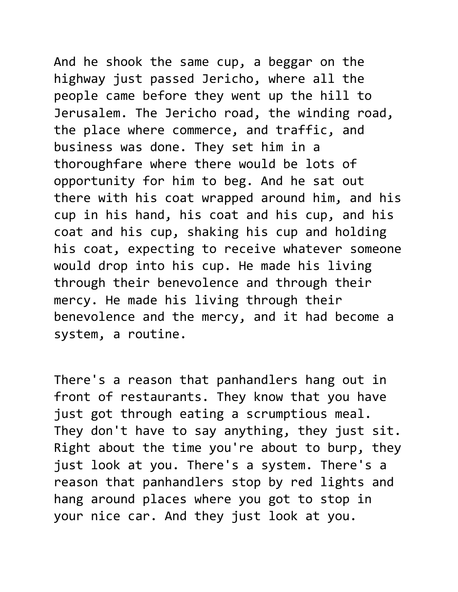And he shook the same cup, a beggar on the highway just passed Jericho, where all the people came before they went up the hill to Jerusalem. The Jericho road, the winding road, the place where commerce, and traffic, and business was done. They set him in a thoroughfare where there would be lots of opportunity for him to beg. And he sat out there with his coat wrapped around him, and his cup in his hand, his coat and his cup, and his coat and his cup, shaking his cup and holding his coat, expecting to receive whatever someone would drop into his cup. He made his living through their benevolence and through their mercy. He made his living through their benevolence and the mercy, and it had become a system, a routine.

There's a reason that panhandlers hang out in front of restaurants. They know that you have just got through eating a scrumptious meal. They don't have to say anything, they just sit. Right about the time you're about to burp, they just look at you. There's a system. There's a reason that panhandlers stop by red lights and hang around places where you got to stop in your nice car. And they just look at you.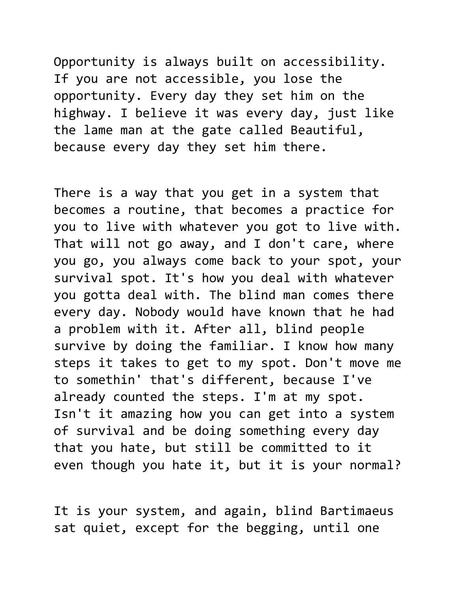Opportunity is always built on accessibility. If you are not accessible, you lose the opportunity. Every day they set him on the highway. I believe it was every day, just like the lame man at the gate called Beautiful, because every day they set him there.

There is a way that you get in a system that becomes a routine, that becomes a practice for you to live with whatever you got to live with. That will not go away, and I don't care, where you go, you always come back to your spot, your survival spot. It's how you deal with whatever you gotta deal with. The blind man comes there every day. Nobody would have known that he had a problem with it. After all, blind people survive by doing the familiar. I know how many steps it takes to get to my spot. Don't move me to somethin' that's different, because I've already counted the steps. I'm at my spot. Isn't it amazing how you can get into a system of survival and be doing something every day that you hate, but still be committed to it even though you hate it, but it is your normal?

It is your system, and again, blind Bartimaeus sat quiet, except for the begging, until one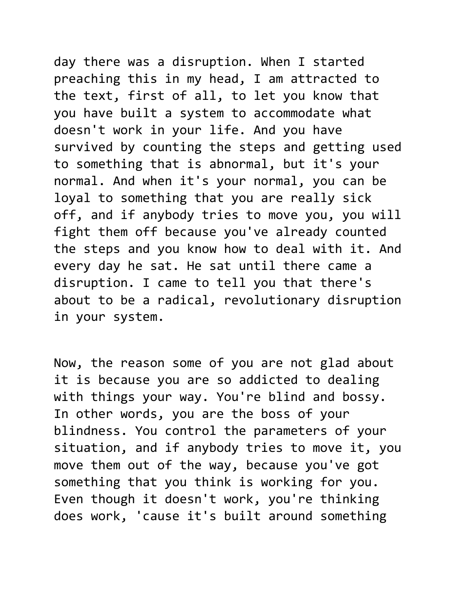day there was a disruption. When I started preaching this in my head, I am attracted to the text, first of all, to let you know that you have built a system to accommodate what doesn't work in your life. And you have survived by counting the steps and getting used to something that is abnormal, but it's your normal. And when it's your normal, you can be loyal to something that you are really sick off, and if anybody tries to move you, you will fight them off because you've already counted the steps and you know how to deal with it. And every day he sat. He sat until there came a disruption. I came to tell you that there's about to be a radical, revolutionary disruption in your system.

Now, the reason some of you are not glad about it is because you are so addicted to dealing with things your way. You're blind and bossy. In other words, you are the boss of your blindness. You control the parameters of your situation, and if anybody tries to move it, you move them out of the way, because you've got something that you think is working for you. Even though it doesn't work, you're thinking does work, 'cause it's built around something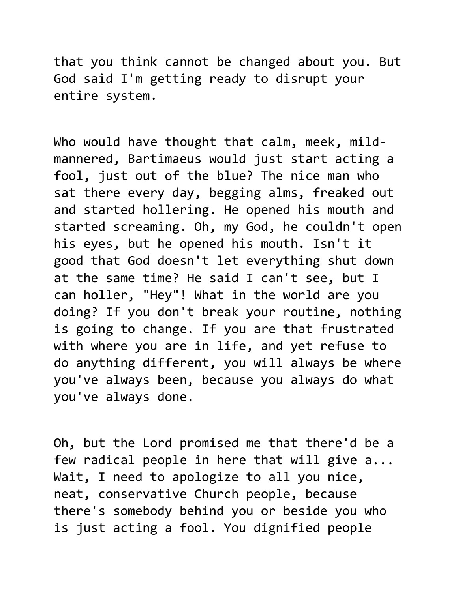that you think cannot be changed about you. But God said I'm getting ready to disrupt your entire system.

Who would have thought that calm, meek, mildmannered, Bartimaeus would just start acting a fool, just out of the blue? The nice man who sat there every day, begging alms, freaked out and started hollering. He opened his mouth and started screaming. Oh, my God, he couldn't open his eyes, but he opened his mouth. Isn't it good that God doesn't let everything shut down at the same time? He said I can't see, but I can holler, "Hey"! What in the world are you doing? If you don't break your routine, nothing is going to change. If you are that frustrated with where you are in life, and yet refuse to do anything different, you will always be where you've always been, because you always do what you've always done.

Oh, but the Lord promised me that there'd be a few radical people in here that will give a... Wait, I need to apologize to all you nice, neat, conservative Church people, because there's somebody behind you or beside you who is just acting a fool. You dignified people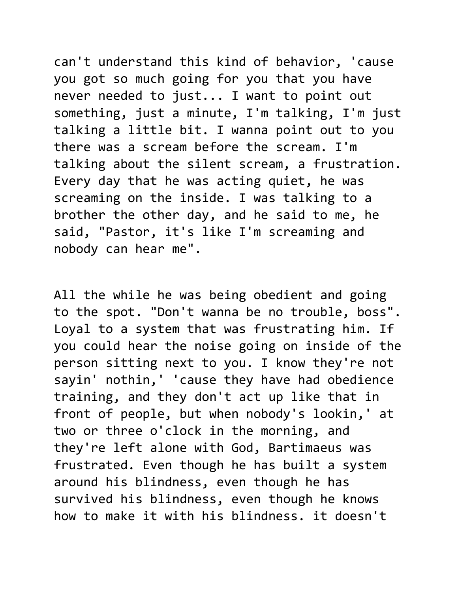can't understand this kind of behavior, 'cause you got so much going for you that you have never needed to just... I want to point out something, just a minute, I'm talking, I'm just talking a little bit. I wanna point out to you there was a scream before the scream. I'm talking about the silent scream, a frustration. Every day that he was acting quiet, he was screaming on the inside. I was talking to a brother the other day, and he said to me, he said, "Pastor, it's like I'm screaming and nobody can hear me".

All the while he was being obedient and going to the spot. "Don't wanna be no trouble, boss". Loyal to a system that was frustrating him. If you could hear the noise going on inside of the person sitting next to you. I know they're not sayin' nothin,' 'cause they have had obedience training, and they don't act up like that in front of people, but when nobody's lookin,' at two or three o'clock in the morning, and they're left alone with God, Bartimaeus was frustrated. Even though he has built a system around his blindness, even though he has survived his blindness, even though he knows how to make it with his blindness. it doesn't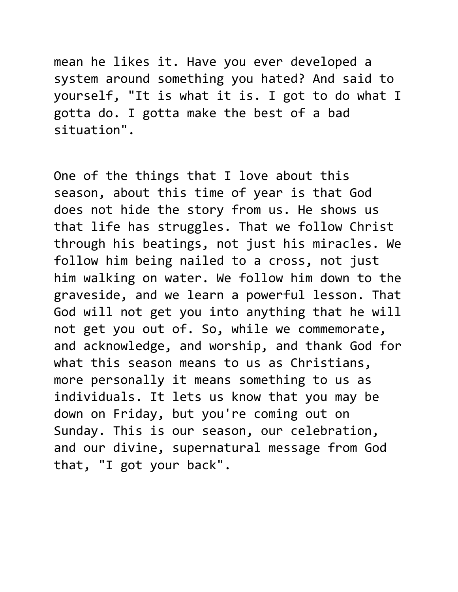mean he likes it. Have you ever developed a system around something you hated? And said to yourself, "It is what it is. I got to do what I gotta do. I gotta make the best of a bad situation".

One of the things that I love about this season, about this time of year is that God does not hide the story from us. He shows us that life has struggles. That we follow Christ through his beatings, not just his miracles. We follow him being nailed to a cross, not just him walking on water. We follow him down to the graveside, and we learn a powerful lesson. That God will not get you into anything that he will not get you out of. So, while we commemorate, and acknowledge, and worship, and thank God for what this season means to us as Christians, more personally it means something to us as individuals. It lets us know that you may be down on Friday, but you're coming out on Sunday. This is our season, our celebration, and our divine, supernatural message from God that, "I got your back".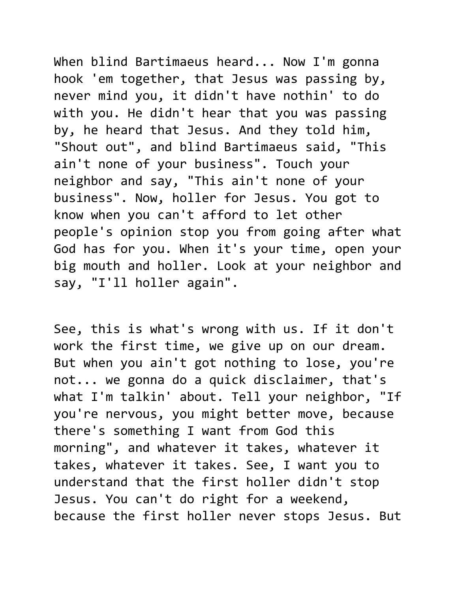When blind Bartimaeus heard... Now I'm gonna hook 'em together, that Jesus was passing by, never mind you, it didn't have nothin' to do with you. He didn't hear that you was passing by, he heard that Jesus. And they told him, "Shout out", and blind Bartimaeus said, "This ain't none of your business". Touch your neighbor and say, "This ain't none of your business". Now, holler for Jesus. You got to know when you can't afford to let other people's opinion stop you from going after what God has for you. When it's your time, open your big mouth and holler. Look at your neighbor and say, "I'll holler again".

See, this is what's wrong with us. If it don't work the first time, we give up on our dream. But when you ain't got nothing to lose, you're not... we gonna do a quick disclaimer, that's what I'm talkin' about. Tell your neighbor, "If you're nervous, you might better move, because there's something I want from God this morning", and whatever it takes, whatever it takes, whatever it takes. See, I want you to understand that the first holler didn't stop Jesus. You can't do right for a weekend, because the first holler never stops Jesus. But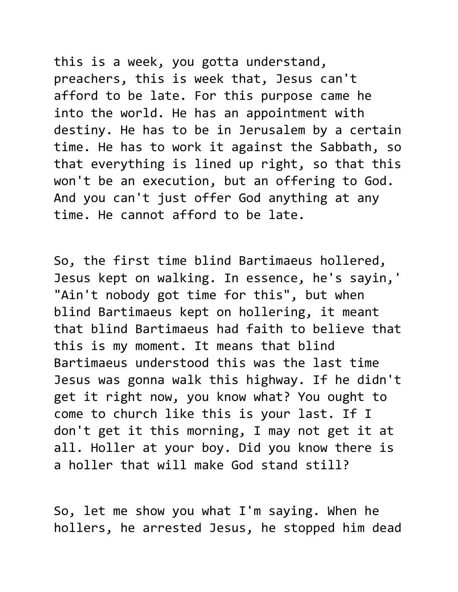this is a week, you gotta understand, preachers, this is week that, Jesus can't afford to be late. For this purpose came he into the world. He has an appointment with destiny. He has to be in Jerusalem by a certain time. He has to work it against the Sabbath, so that everything is lined up right, so that this won't be an execution, but an offering to God. And you can't just offer God anything at any time. He cannot afford to be late.

So, the first time blind Bartimaeus hollered, Jesus kept on walking. In essence, he's sayin,' "Ain't nobody got time for this", but when blind Bartimaeus kept on hollering, it meant that blind Bartimaeus had faith to believe that this is my moment. It means that blind Bartimaeus understood this was the last time Jesus was gonna walk this highway. If he didn't get it right now, you know what? You ought to come to church like this is your last. If I don't get it this morning, I may not get it at all. Holler at your boy. Did you know there is a holler that will make God stand still?

So, let me show you what I'm saying. When he hollers, he arrested Jesus, he stopped him dead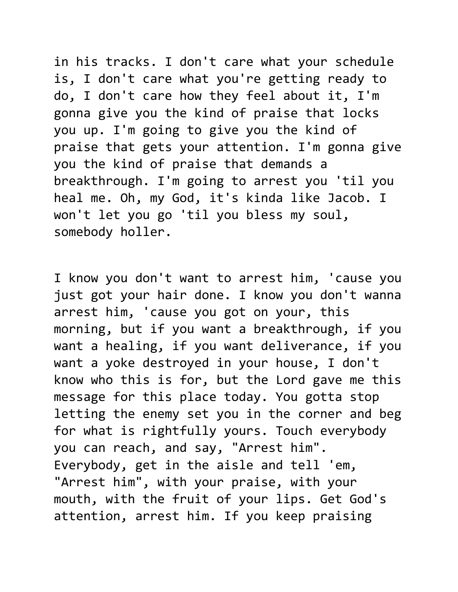in his tracks. I don't care what your schedule is, I don't care what you're getting ready to do, I don't care how they feel about it, I'm gonna give you the kind of praise that locks you up. I'm going to give you the kind of praise that gets your attention. I'm gonna give you the kind of praise that demands a breakthrough. I'm going to arrest you 'til you heal me. Oh, my God, it's kinda like Jacob. I won't let you go 'til you bless my soul, somebody holler.

I know you don't want to arrest him, 'cause you just got your hair done. I know you don't wanna arrest him, 'cause you got on your, this morning, but if you want a breakthrough, if you want a healing, if you want deliverance, if you want a yoke destroyed in your house, I don't know who this is for, but the Lord gave me this message for this place today. You gotta stop letting the enemy set you in the corner and beg for what is rightfully yours. Touch everybody you can reach, and say, "Arrest him". Everybody, get in the aisle and tell 'em, "Arrest him", with your praise, with your mouth, with the fruit of your lips. Get God's attention, arrest him. If you keep praising